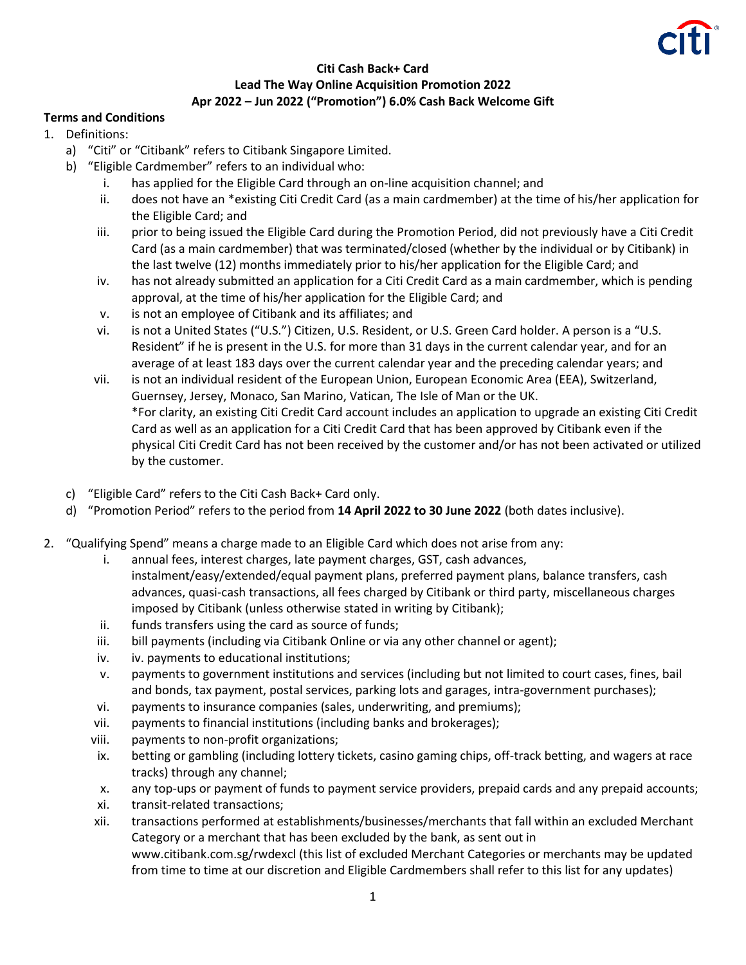

## **Citi Cash Back+ Card Lead The Way Online Acquisition Promotion 2022 Apr 2022 – Jun 2022 ("Promotion") 6.0% Cash Back Welcome Gift**

## **Terms and Conditions**

- 1. Definitions:
	- a) "Citi" or "Citibank" refers to Citibank Singapore Limited.
	- b) "Eligible Cardmember" refers to an individual who:
		- i. has applied for the Eligible Card through an on-line acquisition channel; and
		- ii. does not have an \*existing Citi Credit Card (as a main cardmember) at the time of his/her application for the Eligible Card; and
		- iii. prior to being issued the Eligible Card during the Promotion Period, did not previously have a Citi Credit Card (as a main cardmember) that was terminated/closed (whether by the individual or by Citibank) in the last twelve (12) months immediately prior to his/her application for the Eligible Card; and
		- iv. has not already submitted an application for a Citi Credit Card as a main cardmember, which is pending approval, at the time of his/her application for the Eligible Card; and
		- v. is not an employee of Citibank and its affiliates; and
		- vi. is not a United States ("U.S.") Citizen, U.S. Resident, or U.S. Green Card holder. A person is a "U.S. Resident" if he is present in the U.S. for more than 31 days in the current calendar year, and for an average of at least 183 days over the current calendar year and the preceding calendar years; and
		- vii. is not an individual resident of the European Union, European Economic Area (EEA), Switzerland, Guernsey, Jersey, Monaco, San Marino, Vatican, The Isle of Man or the UK. \*For clarity, an existing Citi Credit Card account includes an application to upgrade an existing Citi Credit Card as well as an application for a Citi Credit Card that has been approved by Citibank even if the physical Citi Credit Card has not been received by the customer and/or has not been activated or utilized by the customer.
	- c) "Eligible Card" refers to the Citi Cash Back+ Card only.
	- d) "Promotion Period" refers to the period from **14 April 2022 to 30 June 2022** (both dates inclusive).
- 2. "Qualifying Spend" means a charge made to an Eligible Card which does not arise from any:
	- i. annual fees, interest charges, late payment charges, GST, cash advances, instalment/easy/extended/equal payment plans, preferred payment plans, balance transfers, cash advances, quasi-cash transactions, all fees charged by Citibank or third party, miscellaneous charges imposed by Citibank (unless otherwise stated in writing by Citibank);
	- ii. funds transfers using the card as source of funds;
	- iii. bill payments (including via Citibank Online or via any other channel or agent);
	- iv. iv. payments to educational institutions;
	- v. payments to government institutions and services (including but not limited to court cases, fines, bail and bonds, tax payment, postal services, parking lots and garages, intra-government purchases);
	- vi. payments to insurance companies (sales, underwriting, and premiums);
	- vii. payments to financial institutions (including banks and brokerages);
	- viii. payments to non-profit organizations;
	- ix. betting or gambling (including lottery tickets, casino gaming chips, off-track betting, and wagers at race tracks) through any channel;
	- x. any top-ups or payment of funds to payment service providers, prepaid cards and any prepaid accounts;
	- xi. transit-related transactions;
	- xii. transactions performed at establishments/businesses/merchants that fall within an excluded Merchant Category or a merchant that has been excluded by the bank, as sent out in www.citibank.com.sg/rwdexcl (this list of excluded Merchant Categories or merchants may be updated from time to time at our discretion and Eligible Cardmembers shall refer to this list for any updates)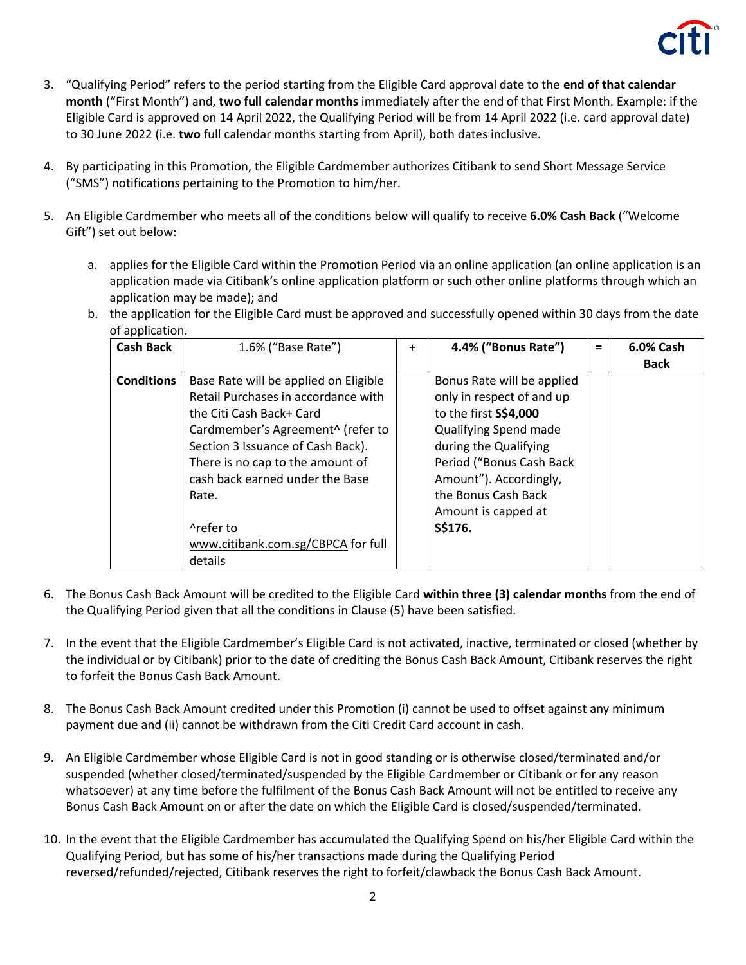

- 3. "Qualifying Period" refers to the period starting from the Eligible Card approval date to the **end of that calendar month** ("First Month") and, **two full calendar months** immediately after the end of that First Month. Example: if the Eligible Card is approved on 14 April 2022, the Qualifying Period will be from 14 April 2022 (i.e. card approval date) to 30 June 2022 (i.e. **two** full calendar months starting from April), both dates inclusive.
- 4. By participating in this Promotion, the Eligible Cardmember authorizes Citibank to send Short Message Service ("SMS") notifications pertaining to the Promotion to him/her.
- 5. An Eligible Cardmember who meets all of the conditions below will qualify to receive **6.0% Cash Back** ("Welcome Gift") set out below:
	- a. applies for the Eligible Card within the Promotion Period via an online application (an online application is an application made via Citibank's online application platform or such other online platforms through which an application may be made); and
	- b. the application for the Eligible Card must be approved and successfully opened within 30 days from the date of application.

| <b>Cash Back</b>  | 1.6% ("Base Rate")                                                                                                                                                                                                                                                                                                               | $\ddot{}$ | 4.4% ("Bonus Rate")                                                                                                                                                                                                                               | = | 6.0% Cash<br><b>Back</b> |
|-------------------|----------------------------------------------------------------------------------------------------------------------------------------------------------------------------------------------------------------------------------------------------------------------------------------------------------------------------------|-----------|---------------------------------------------------------------------------------------------------------------------------------------------------------------------------------------------------------------------------------------------------|---|--------------------------|
| <b>Conditions</b> | Base Rate will be applied on Eligible<br>Retail Purchases in accordance with<br>the Citi Cash Back+ Card<br>Cardmember's Agreement^ (refer to<br>Section 3 Issuance of Cash Back).<br>There is no cap to the amount of<br>cash back earned under the Base<br>Rate.<br>^refer to<br>www.citibank.com.sg/CBPCA for full<br>details |           | Bonus Rate will be applied<br>only in respect of and up<br>to the first S\$4,000<br>Qualifying Spend made<br>during the Qualifying<br>Period ("Bonus Cash Back<br>Amount"). Accordingly,<br>the Bonus Cash Back<br>Amount is capped at<br>S\$176. |   |                          |

- 6. The Bonus Cash Back Amount will be credited to the Eligible Card **within three (3) calendar months** from the end of the Qualifying Period given that all the conditions in Clause (5) have been satisfied.
- 7. In the event that the Eligible Cardmember's Eligible Card is not activated, inactive, terminated or closed (whether by the individual or by Citibank) prior to the date of crediting the Bonus Cash Back Amount, Citibank reserves the right to forfeit the Bonus Cash Back Amount.
- 8. The Bonus Cash Back Amount credited under this Promotion (i) cannot be used to offset against any minimum payment due and (ii) cannot be withdrawn from the Citi Credit Card account in cash.
- 9. An Eligible Cardmember whose Eligible Card is not in good standing or is otherwise closed/terminated and/or suspended (whether closed/terminated/suspended by the Eligible Cardmember or Citibank or for any reason whatsoever) at any time before the fulfilment of the Bonus Cash Back Amount will not be entitled to receive any Bonus Cash Back Amount on or after the date on which the Eligible Card is closed/suspended/terminated.
- 10. In the event that the Eligible Cardmember has accumulated the Qualifying Spend on his/her Eligible Card within the Qualifying Period, but has some of his/her transactions made during the Qualifying Period reversed/refunded/rejected, Citibank reserves the right to forfeit/clawback the Bonus Cash Back Amount.